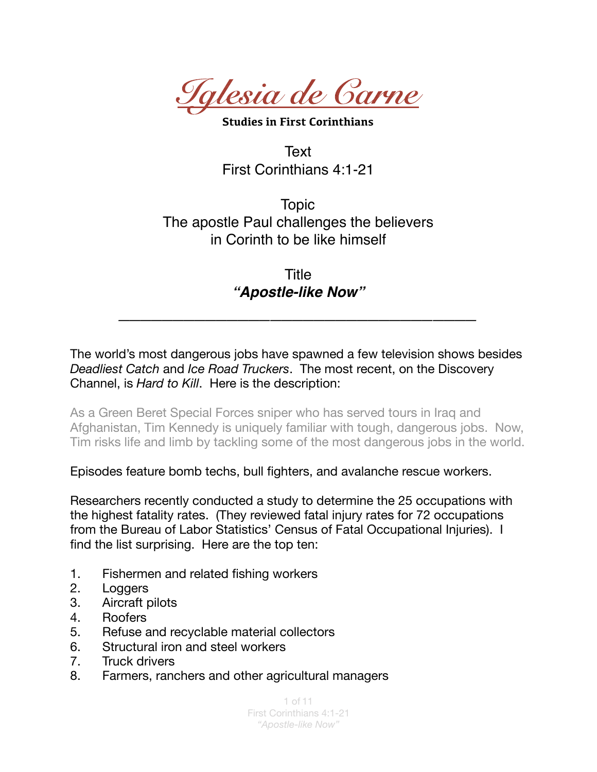

**Studies in First Corinthians** 

**Text** First Corinthians 4:1-21

Topic The apostle Paul challenges the believers in Corinth to be like himself

> Title *"Apostle-like Now"*

*\_\_\_\_\_\_\_\_\_\_\_\_\_\_\_\_\_\_\_\_\_\_\_\_\_\_\_\_\_\_\_\_\_*

The world's most dangerous jobs have spawned a few television shows besides *Deadliest Catch* and *Ice Road Truckers*. The most recent, on the Discovery Channel, is *Hard to Kill*. Here is the description:

As a Green Beret Special Forces sniper who has served tours in Iraq and Afghanistan, Tim Kennedy is uniquely familiar with tough, dangerous jobs. Now, Tim risks life and limb by tackling some of the most dangerous jobs in the world.

Episodes feature bomb techs, bull fighters, and avalanche rescue workers.

Researchers recently conducted a study to determine the 25 occupations with the highest fatality rates. (They reviewed fatal injury rates for 72 occupations from the Bureau of Labor Statistics' Census of Fatal Occupational Injuries). I find the list surprising. Here are the top ten:

- 1. Fishermen and related fishing workers
- 2. Loggers
- 3. Aircraft pilots
- 4. Roofers
- 5. Refuse and recyclable material collectors
- 6. Structural iron and steel workers
- 7. Truck drivers
- 8. Farmers, ranchers and other agricultural managers

1 of 11 First Corinthians 4:1-21 *"Apostle-like Now"*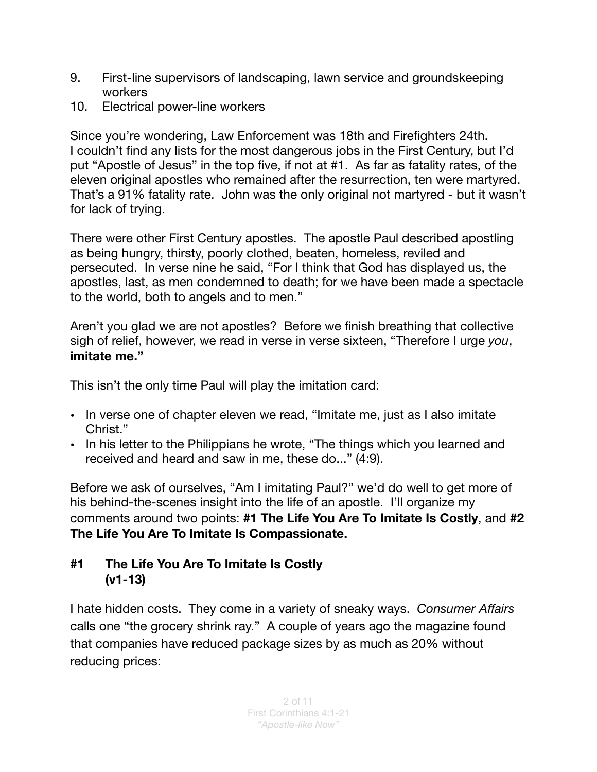- 9. First-line supervisors of landscaping, lawn service and groundskeeping workers
- 10. Electrical power-line workers

Since you're wondering, Law Enforcement was 18th and Firefighters 24th. I couldn't find any lists for the most dangerous jobs in the First Century, but I'd put "Apostle of Jesus" in the top five, if not at #1. As far as fatality rates, of the eleven original apostles who remained after the resurrection, ten were martyred. That's a 91% fatality rate. John was the only original not martyred - but it wasn't for lack of trying.

There were other First Century apostles. The apostle Paul described apostling as being hungry, thirsty, poorly clothed, beaten, homeless, reviled and persecuted. In verse nine he said, "For I think that God has displayed us, the apostles, last, as men condemned to death; for we have been made a spectacle to the world, both to angels and to men."

Aren't you glad we are not apostles? Before we finish breathing that collective sigh of relief, however, we read in verse in verse sixteen, "Therefore I urge *you*, **imitate me."**

This isn't the only time Paul will play the imitation card:

- In verse one of chapter eleven we read, "Imitate me, just as I also imitate Christ."
- In his letter to the Philippians he wrote, "The things which you learned and received and heard and saw in me, these do..." (4:9).

Before we ask of ourselves, "Am I imitating Paul?" we'd do well to get more of his behind-the-scenes insight into the life of an apostle. I'll organize my comments around two points: **#1 The Life You Are To Imitate Is Costly**, and **#2 The Life You Are To Imitate Is Compassionate.** 

## **#1 The Life You Are To Imitate Is Costly (v1-13)**

I hate hidden costs. They come in a variety of sneaky ways. *Consumer Affairs* calls one "the grocery shrink ray." A couple of years ago the magazine found that companies have reduced package sizes by as much as 20% without reducing prices: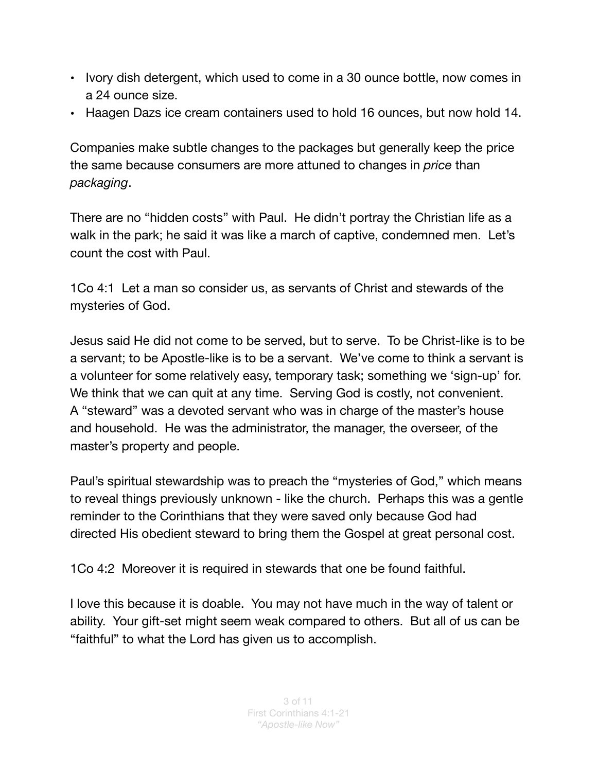- Ivory dish detergent, which used to come in a 30 ounce bottle, now comes in a 24 ounce size.
- Haagen Dazs ice cream containers used to hold 16 ounces, but now hold 14.

Companies make subtle changes to the packages but generally keep the price the same because consumers are more attuned to changes in *price* than *packaging*.

There are no "hidden costs" with Paul. He didn't portray the Christian life as a walk in the park; he said it was like a march of captive, condemned men. Let's count the cost with Paul.

1Co 4:1 Let a man so consider us, as servants of Christ and stewards of the mysteries of God.

Jesus said He did not come to be served, but to serve. To be Christ-like is to be a servant; to be Apostle-like is to be a servant. We've come to think a servant is a volunteer for some relatively easy, temporary task; something we 'sign-up' for. We think that we can quit at any time. Serving God is costly, not convenient. A "steward" was a devoted servant who was in charge of the master's house and household. He was the administrator, the manager, the overseer, of the master's property and people.

Paul's spiritual stewardship was to preach the "mysteries of God," which means to reveal things previously unknown - like the church. Perhaps this was a gentle reminder to the Corinthians that they were saved only because God had directed His obedient steward to bring them the Gospel at great personal cost.

1Co 4:2 Moreover it is required in stewards that one be found faithful.

I love this because it is doable. You may not have much in the way of talent or ability. Your gift-set might seem weak compared to others. But all of us can be "faithful" to what the Lord has given us to accomplish.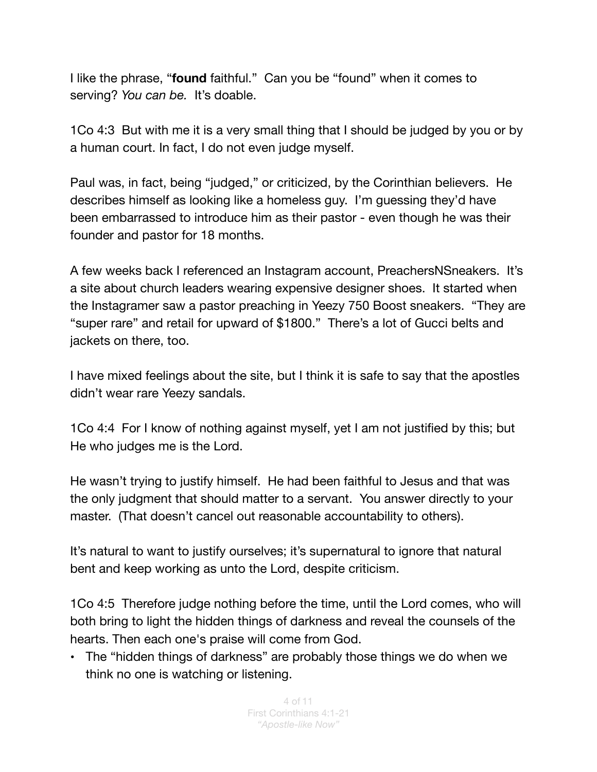I like the phrase, "**found** faithful." Can you be "found" when it comes to serving? *You can be.* It's doable.

1Co 4:3 But with me it is a very small thing that I should be judged by you or by a human court. In fact, I do not even judge myself.

Paul was, in fact, being "judged," or criticized, by the Corinthian believers. He describes himself as looking like a homeless guy. I'm guessing they'd have been embarrassed to introduce him as their pastor - even though he was their founder and pastor for 18 months.

A few weeks back I referenced an Instagram account, PreachersNSneakers. It's a site about church leaders wearing expensive designer shoes. It started when the Instagramer saw a pastor preaching in Yeezy 750 Boost sneakers. "They are "super rare" and retail for upward of \$1800." There's a lot of Gucci belts and jackets on there, too.

I have mixed feelings about the site, but I think it is safe to say that the apostles didn't wear rare Yeezy sandals.

1Co 4:4 For I know of nothing against myself, yet I am not justified by this; but He who judges me is the Lord.

He wasn't trying to justify himself. He had been faithful to Jesus and that was the only judgment that should matter to a servant. You answer directly to your master. (That doesn't cancel out reasonable accountability to others).

It's natural to want to justify ourselves; it's supernatural to ignore that natural bent and keep working as unto the Lord, despite criticism.

1Co 4:5 Therefore judge nothing before the time, until the Lord comes, who will both bring to light the hidden things of darkness and reveal the counsels of the hearts. Then each one's praise will come from God.

• The "hidden things of darkness" are probably those things we do when we think no one is watching or listening.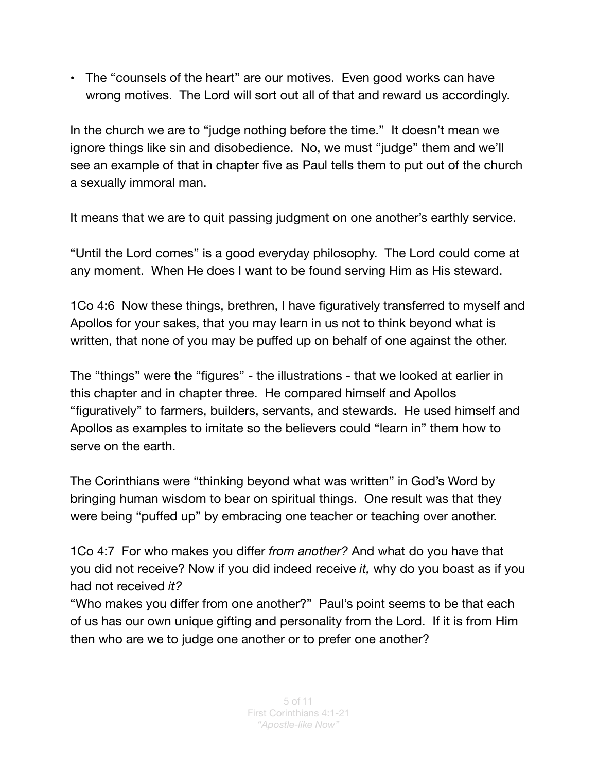• The "counsels of the heart" are our motives. Even good works can have wrong motives. The Lord will sort out all of that and reward us accordingly.

In the church we are to "judge nothing before the time." It doesn't mean we ignore things like sin and disobedience. No, we must "judge" them and we'll see an example of that in chapter five as Paul tells them to put out of the church a sexually immoral man.

It means that we are to quit passing judgment on one another's earthly service.

"Until the Lord comes" is a good everyday philosophy. The Lord could come at any moment. When He does I want to be found serving Him as His steward.

1Co 4:6 Now these things, brethren, I have figuratively transferred to myself and Apollos for your sakes, that you may learn in us not to think beyond what is written, that none of you may be puffed up on behalf of one against the other.

The "things" were the "figures" - the illustrations - that we looked at earlier in this chapter and in chapter three. He compared himself and Apollos "figuratively" to farmers, builders, servants, and stewards. He used himself and Apollos as examples to imitate so the believers could "learn in" them how to serve on the earth.

The Corinthians were "thinking beyond what was written" in God's Word by bringing human wisdom to bear on spiritual things. One result was that they were being "puffed up" by embracing one teacher or teaching over another.

1Co 4:7 For who makes you differ *from another?* And what do you have that you did not receive? Now if you did indeed receive *it,* why do you boast as if you had not received *it?* 

"Who makes you differ from one another?" Paul's point seems to be that each of us has our own unique gifting and personality from the Lord. If it is from Him then who are we to judge one another or to prefer one another?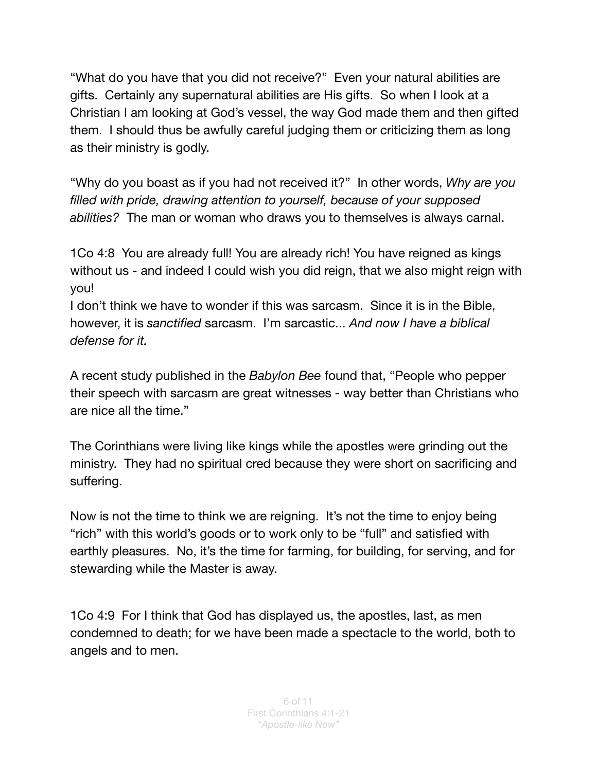"What do you have that you did not receive?" Even your natural abilities are gifts. Certainly any supernatural abilities are His gifts. So when I look at a Christian I am looking at God's vessel, the way God made them and then gifted them. I should thus be awfully careful judging them or criticizing them as long as their ministry is godly.

"Why do you boast as if you had not received it?" In other words, *Why are you filled with pride, drawing attention to yourself, because of your supposed abilities?* The man or woman who draws you to themselves is always carnal.

1Co 4:8 You are already full! You are already rich! You have reigned as kings without us - and indeed I could wish you did reign, that we also might reign with you!

I don't think we have to wonder if this was sarcasm. Since it is in the Bible, however, it is *sanctified* sarcasm. I'm sarcastic... *And now I have a biblical defense for it.* 

A recent study published in the *Babylon Bee* found that, "People who pepper their speech with sarcasm are great witnesses - way better than Christians who are nice all the time."

The Corinthians were living like kings while the apostles were grinding out the ministry. They had no spiritual cred because they were short on sacrificing and suffering.

Now is not the time to think we are reigning. It's not the time to enjoy being "rich" with this world's goods or to work only to be "full" and satisfied with earthly pleasures. No, it's the time for farming, for building, for serving, and for stewarding while the Master is away.

1Co 4:9 For I think that God has displayed us, the apostles, last, as men condemned to death; for we have been made a spectacle to the world, both to angels and to men.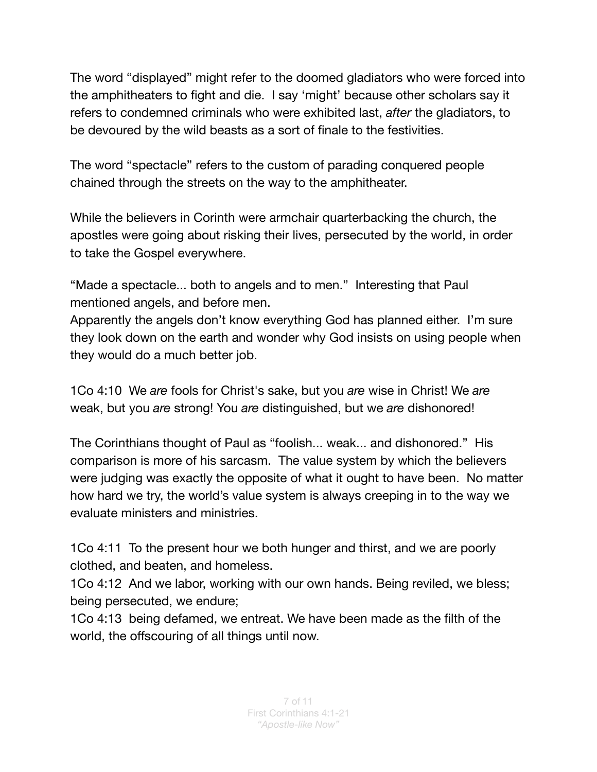The word "displayed" might refer to the doomed gladiators who were forced into the amphitheaters to fight and die. I say 'might' because other scholars say it refers to condemned criminals who were exhibited last, *after* the gladiators, to be devoured by the wild beasts as a sort of finale to the festivities.

The word "spectacle" refers to the custom of parading conquered people chained through the streets on the way to the amphitheater.

While the believers in Corinth were armchair quarterbacking the church, the apostles were going about risking their lives, persecuted by the world, in order to take the Gospel everywhere.

"Made a spectacle... both to angels and to men." Interesting that Paul mentioned angels, and before men.

Apparently the angels don't know everything God has planned either. I'm sure they look down on the earth and wonder why God insists on using people when they would do a much better job.

1Co 4:10 We *are* fools for Christ's sake, but you *are* wise in Christ! We *are* weak, but you *are* strong! You *are* distinguished, but we *are* dishonored!

The Corinthians thought of Paul as "foolish... weak... and dishonored." His comparison is more of his sarcasm. The value system by which the believers were judging was exactly the opposite of what it ought to have been. No matter how hard we try, the world's value system is always creeping in to the way we evaluate ministers and ministries.

1Co 4:11 To the present hour we both hunger and thirst, and we are poorly clothed, and beaten, and homeless.

1Co 4:12 And we labor, working with our own hands. Being reviled, we bless; being persecuted, we endure;

1Co 4:13 being defamed, we entreat. We have been made as the filth of the world, the offscouring of all things until now.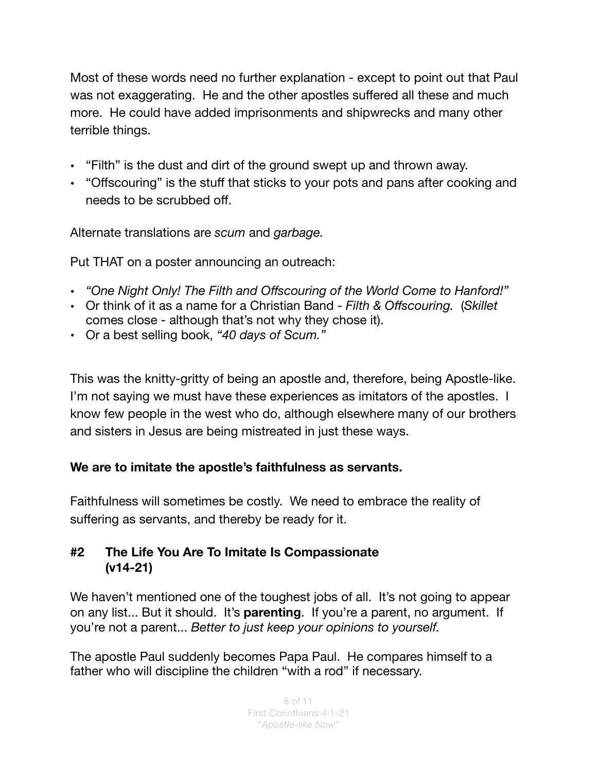Most of these words need no further explanation - except to point out that Paul was not exaggerating. He and the other apostles suffered all these and much more. He could have added imprisonments and shipwrecks and many other terrible things.

- "Filth" is the dust and dirt of the ground swept up and thrown away.
- "Offscouring" is the stuff that sticks to your pots and pans after cooking and needs to be scrubbed off.

Alternate translations are *scum* and *garbage.*

Put THAT on a poster announcing an outreach:

- *"One Night Only! The Filth and Offscouring of the World Come to Hanford!"*
- Or think of it as a name for a Christian Band - *Filth & Offscouring.* (*Skillet* comes close - although that's not why they chose it).
- Or a best selling book, *"40 days of Scum."*

This was the knitty-gritty of being an apostle and, therefore, being Apostle-like. I'm not saying we must have these experiences as imitators of the apostles. I know few people in the west who do, although elsewhere many of our brothers and sisters in Jesus are being mistreated in just these ways.

## **We are to imitate the apostle's faithfulness as servants.**

Faithfulness will sometimes be costly. We need to embrace the reality of suffering as servants, and thereby be ready for it.

## **#2 The Life You Are To Imitate Is Compassionate (v14-21)**

We haven't mentioned one of the toughest jobs of all. It's not going to appear on any list... But it should. It's **parenting**. If you're a parent, no argument. If you're not a parent... *Better to just keep your opinions to yourself.* 

The apostle Paul suddenly becomes Papa Paul. He compares himself to a father who will discipline the children "with a rod" if necessary.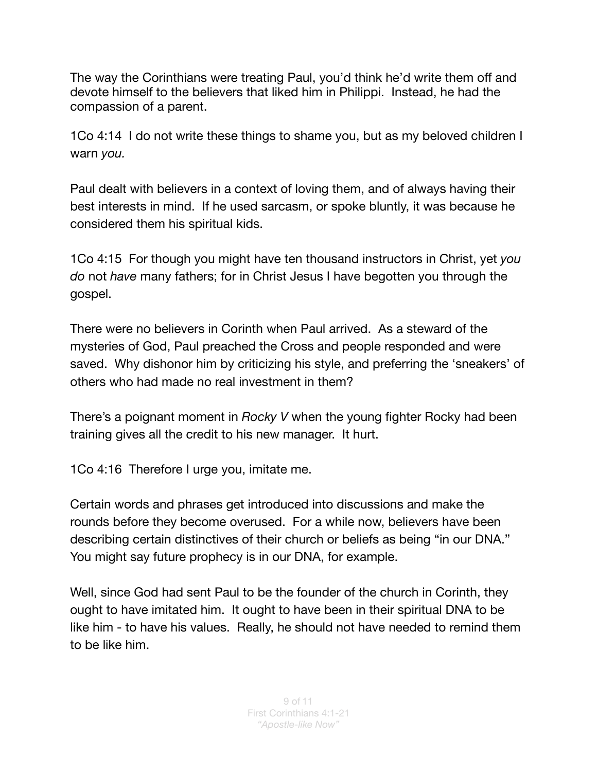The way the Corinthians were treating Paul, you'd think he'd write them off and devote himself to the believers that liked him in Philippi. Instead, he had the compassion of a parent.

1Co 4:14 I do not write these things to shame you, but as my beloved children I warn *you.* 

Paul dealt with believers in a context of loving them, and of always having their best interests in mind. If he used sarcasm, or spoke bluntly, it was because he considered them his spiritual kids.

1Co 4:15 For though you might have ten thousand instructors in Christ, yet *you do* not *have* many fathers; for in Christ Jesus I have begotten you through the gospel.

There were no believers in Corinth when Paul arrived. As a steward of the mysteries of God, Paul preached the Cross and people responded and were saved. Why dishonor him by criticizing his style, and preferring the 'sneakers' of others who had made no real investment in them?

There's a poignant moment in *Rocky V* when the young fighter Rocky had been training gives all the credit to his new manager. It hurt.

1Co 4:16 Therefore I urge you, imitate me.

Certain words and phrases get introduced into discussions and make the rounds before they become overused. For a while now, believers have been describing certain distinctives of their church or beliefs as being "in our DNA." You might say future prophecy is in our DNA, for example.

Well, since God had sent Paul to be the founder of the church in Corinth, they ought to have imitated him. It ought to have been in their spiritual DNA to be like him - to have his values. Really, he should not have needed to remind them to be like him.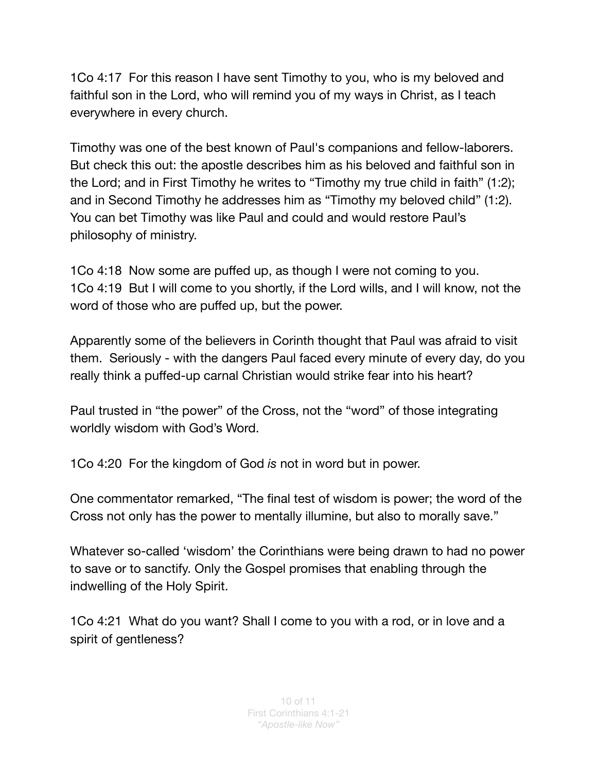1Co 4:17 For this reason I have sent Timothy to you, who is my beloved and faithful son in the Lord, who will remind you of my ways in Christ, as I teach everywhere in every church.

Timothy was one of the best known of Paul's companions and fellow-laborers. But check this out: the apostle describes him as his beloved and faithful son in the Lord; and in First Timothy he writes to "Timothy my true child in faith" (1:2); and in Second Timothy he addresses him as "Timothy my beloved child" (1:2). You can bet Timothy was like Paul and could and would restore Paul's philosophy of ministry.

1Co 4:18 Now some are puffed up, as though I were not coming to you. 1Co 4:19 But I will come to you shortly, if the Lord wills, and I will know, not the word of those who are puffed up, but the power.

Apparently some of the believers in Corinth thought that Paul was afraid to visit them. Seriously - with the dangers Paul faced every minute of every day, do you really think a puffed-up carnal Christian would strike fear into his heart?

Paul trusted in "the power" of the Cross, not the "word" of those integrating worldly wisdom with God's Word.

1Co 4:20 For the kingdom of God *is* not in word but in power.

One commentator remarked, "The final test of wisdom is power; the word of the Cross not only has the power to mentally illumine, but also to morally save."

Whatever so-called 'wisdom' the Corinthians were being drawn to had no power to save or to sanctify. Only the Gospel promises that enabling through the indwelling of the Holy Spirit.

1Co 4:21 What do you want? Shall I come to you with a rod, or in love and a spirit of gentleness?